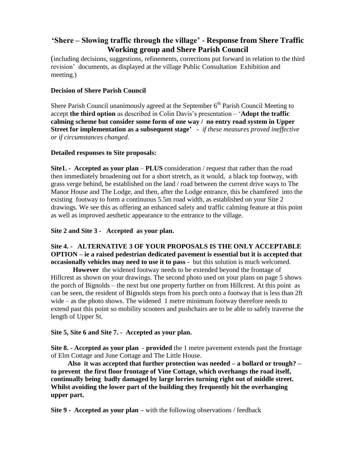# **'Shere – Slowing traffic through the village' - Response from Shere Traffic Working group and Shere Parish Council**

(including decisions, suggestions, refinements, corrections put forward in relation to the third revision' documents, as displayed at the village Public Consultation Exhibition and meeting.)

# **Decision of Shere Parish Council**

Shere Parish Council unanimously agreed at the September  $6<sup>th</sup>$  Parish Council Meeting to accept **the third option** as described in Colin Davis's presentation – '**Adopt the traffic calming scheme but consider some form of one way / no entry road system in Upper Street for implementation as a subsequent stage' -** *if these measures proved ineffective or if circumstances changed.* 

## **Detailed responses to Site proposals:**

**Site1. - Accepted as your plan** – **PLUS** consideration / request that rather than the road then immediately broadening out for a short stretch, as it would, a black top footway, with grass verge behind, be established on the land / road between the current drive ways to The Manor House and The Lodge, and then, after the Lodge entrance, this be chamfered into the existing footway to form a continuous 5.5m road width, as established on your Site 2 drawings. We see this as offering an enhanced safety and traffic calming feature at this point as well as improved aesthetic appearance to the entrance to the village.

## **Site 2 and Site 3 - Accepted as your plan.**

# **Site 4. - ALTERNATIVE 3 OF YOUR PROPOSALS IS THE ONLY ACCEPTABLE OPTION – ie a raised pedestrian dedicated pavement is essential but it is accepted that occasionally vehicles may need to use it to pass -** but this solution is much welcomed.

 **However** the widened footway needs to be extended beyond the frontage of Hillcrest as shown on your drawings. The second photo used on your plans on page 5 shows the porch of Bignolds – the next but one property further on from Hillcrest. At this point as can be seen, the resident of Bignolds steps from his porch onto a footway that is less than 2ft wide – as the photo shows. The widened 1 metre minimum footway therefore needs to extend past this point so mobility scooters and pushchairs are to be able to safely traverse the length of Upper St.

## **Site 5, Site 6 and Site 7. - Accepted as your plan.**

**Site 8. - Accepted as your plan** - **provided** the 1 metre pavement extends past the frontage of Elm Cottage and June Cottage and The Little House.

 **Also it was accepted that further protection was needed – a bollard or trough? – to prevent the first floor frontage of Vine Cottage, which overhangs the road itself, continually being badly damaged by large lorries turning right out of middle street. Whilst avoiding the lower part of the building they frequently hit the overhanging upper part.**

**Site 9 - Accepted as your plan –** with the following observations / feedback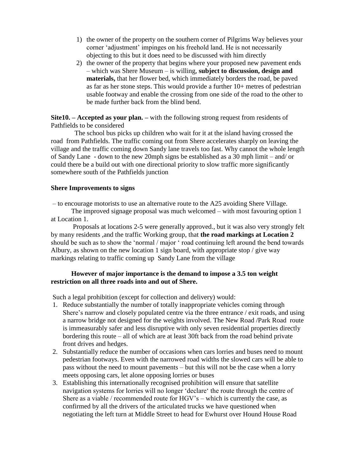- 1) the owner of the property on the southern corner of Pilgrims Way believes your corner 'adjustment' impinges on his freehold land. He is not necessarily objecting to this but it does need to be discussed with him directly
- 2) the owner of the property that begins where your proposed new pavement ends – which was Shere Museum – is willing, **subject to discussion, design and materials,** that her flower bed, which immediately borders the road, be paved as far as her stone steps. This would provide a further 10+ metres of pedestrian usable footway and enable the crossing from one side of the road to the other to be made further back from the blind bend.

**Site10. – Accepted as your plan. –** with the following strong request from residents of Pathfields to be considered

 The school bus picks up children who wait for it at the island having crossed the road from Pathfields. The traffic coming out from Shere accelerates sharply on leaving the village and the traffic coming down Sandy lane travels too fast. Why cannot the whole length of Sandy Lane - down to the new 20mph signs be established as a 30 mph limit – and/ or could there be a build out with one directional priority to slow traffic more significantly somewhere south of the Pathfields junction

#### **Shere Improvements to signs**

– to encourage motorists to use an alternative route to the A25 avoiding Shere Village.

 The improved signage proposal was much welcomed – with most favouring option 1 at Location 1.

 Proposals at locations 2-5 were generally approved., but it was also very strongly felt by many residents ,and the traffic Working group, that **the road markings at Location 2**  should be such as to show the 'normal / major ' road continuing left around the bend towards Albury, as shown on the new location 1 sign board, with appropriate stop / give way markings relating to traffic coming up Sandy Lane from the village

## **However of major importance is the demand to impose a 3.5 ton weight restriction on all three roads into and out of Shere.**

Such a legal prohibition (except for collection and delivery) would:

- 1. Reduce substantially the number of totally inappropriate vehicles coming through Shere's narrow and closely populated centre via the three entrance / exit roads, and using a narrow bridge not designed for the weights involved. The New Road /Park Road route is immeasurably safer and less disruptive with only seven residential properties directly bordering this route – all of which are at least 30ft back from the road behind private front drives and hedges.
- 2. Substantially reduce the number of occasions when cars lorries and buses need to mount pedestrian footways. Even with the narrowed road widths the slowed cars will be able to pass without the need to mount pavements – but this will not be the case when a lorry meets opposing cars, let alone opposing lorries or buses
- 3. Establishing this internationally recognised prohibition will ensure that satellite navigation systems for lorries will no longer 'declare' the route through the centre of Shere as a viable / recommended route for HGV's – which is currently the case, as confirmed by all the drivers of the articulated trucks we have questioned when negotiating the left turn at Middle Street to head for Ewhurst over Hound House Road